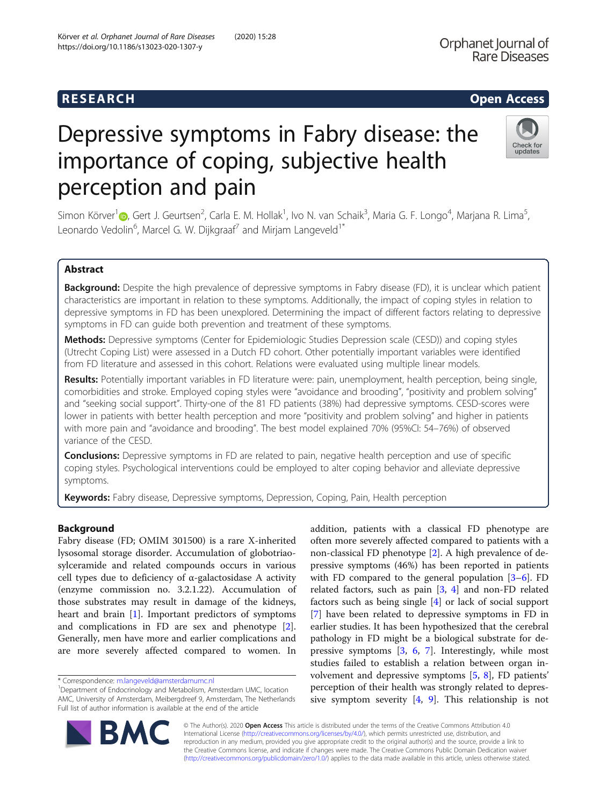## **RESEARCH RESEARCH CONSUMING ACCESS**

# Depressive symptoms in Fabry disease: the importance of coping, subjective health perception and pain



Simon Körver<sup>1</sup> (d. Geurtsen<sup>2</sup>, Carla E. M. Hollak<sup>1</sup>, Ivo N. van Schaik<sup>3</sup>, Maria G. F. Longo<sup>4</sup>, Marjana R. Lima<sup>5</sup> , Leonardo Vedolin $^6$ , Marcel G. W. Dijkgraaf $^7$  and Mirjam Langeveld $^1{}^*$ 

### Abstract

Background: Despite the high prevalence of depressive symptoms in Fabry disease (FD), it is unclear which patient characteristics are important in relation to these symptoms. Additionally, the impact of coping styles in relation to depressive symptoms in FD has been unexplored. Determining the impact of different factors relating to depressive symptoms in FD can guide both prevention and treatment of these symptoms.

Methods: Depressive symptoms (Center for Epidemiologic Studies Depression scale (CESD)) and coping styles (Utrecht Coping List) were assessed in a Dutch FD cohort. Other potentially important variables were identified from FD literature and assessed in this cohort. Relations were evaluated using multiple linear models.

Results: Potentially important variables in FD literature were: pain, unemployment, health perception, being single, comorbidities and stroke. Employed coping styles were "avoidance and brooding", "positivity and problem solving" and "seeking social support". Thirty-one of the 81 FD patients (38%) had depressive symptoms. CESD-scores were lower in patients with better health perception and more "positivity and problem solving" and higher in patients with more pain and "avoidance and brooding". The best model explained 70% (95%CI: 54–76%) of observed variance of the CESD.

**Conclusions:** Depressive symptoms in FD are related to pain, negative health perception and use of specific coping styles. Psychological interventions could be employed to alter coping behavior and alleviate depressive symptoms.

Keywords: Fabry disease, Depressive symptoms, Depression, Coping, Pain, Health perception

#### Background

Fabry disease (FD; OMIM 301500) is a rare X-inherited lysosomal storage disorder. Accumulation of globotriaosylceramide and related compounds occurs in various cell types due to deficiency of α-galactosidase A activity (enzyme commission no. 3.2.1.22). Accumulation of those substrates may result in damage of the kidneys, heart and brain [\[1](#page-8-0)]. Important predictors of symptoms and complications in FD are sex and phenotype [\[2](#page-8-0)]. Generally, men have more and earlier complications and are more severely affected compared to women. In

addition, patients with a classical FD phenotype are often more severely affected compared to patients with a non-classical FD phenotype [\[2\]](#page-8-0). A high prevalence of depressive symptoms (46%) has been reported in patients with FD compared to the general population [\[3](#page-8-0)–[6](#page-8-0)]. FD related factors, such as pain [\[3](#page-8-0), [4\]](#page-8-0) and non-FD related factors such as being single [[4](#page-8-0)] or lack of social support [[7\]](#page-8-0) have been related to depressive symptoms in FD in earlier studies. It has been hypothesized that the cerebral pathology in FD might be a biological substrate for depressive symptoms [[3,](#page-8-0) [6,](#page-8-0) [7](#page-8-0)]. Interestingly, while most studies failed to establish a relation between organ involvement and depressive symptoms [[5,](#page-8-0) [8\]](#page-8-0), FD patients' perception of their health was strongly related to depressive symptom severity [\[4](#page-8-0), [9](#page-8-0)]. This relationship is not



© The Author(s). 2020 Open Access This article is distributed under the terms of the Creative Commons Attribution 4.0 International License [\(http://creativecommons.org/licenses/by/4.0/](http://creativecommons.org/licenses/by/4.0/)), which permits unrestricted use, distribution, and reproduction in any medium, provided you give appropriate credit to the original author(s) and the source, provide a link to the Creative Commons license, and indicate if changes were made. The Creative Commons Public Domain Dedication waiver [\(http://creativecommons.org/publicdomain/zero/1.0/](http://creativecommons.org/publicdomain/zero/1.0/)) applies to the data made available in this article, unless otherwise stated.

<sup>\*</sup> Correspondence: [m.langeveld@amsterdamumc.nl](mailto:m.langeveld@amsterdamumc.nl) <sup>1</sup>

Department of Endocrinology and Metabolism, Amsterdam UMC, location AMC, University of Amsterdam, Meibergdreef 9, Amsterdam, The Netherlands Full list of author information is available at the end of the article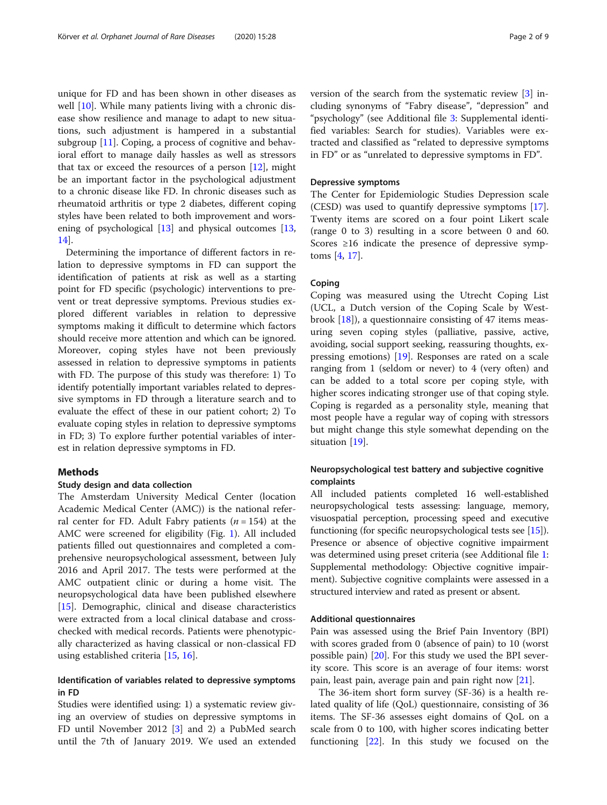unique for FD and has been shown in other diseases as well [\[10](#page-8-0)]. While many patients living with a chronic disease show resilience and manage to adapt to new situations, such adjustment is hampered in a substantial subgroup [\[11\]](#page-8-0). Coping, a process of cognitive and behavioral effort to manage daily hassles as well as stressors that tax or exceed the resources of a person  $[12]$  $[12]$ , might be an important factor in the psychological adjustment to a chronic disease like FD. In chronic diseases such as rheumatoid arthritis or type 2 diabetes, different coping styles have been related to both improvement and worsening of psychological  $[13]$  $[13]$  and physical outcomes  $[13]$  $[13]$  $[13]$ , [14\]](#page-8-0).

Determining the importance of different factors in relation to depressive symptoms in FD can support the identification of patients at risk as well as a starting point for FD specific (psychologic) interventions to prevent or treat depressive symptoms. Previous studies explored different variables in relation to depressive symptoms making it difficult to determine which factors should receive more attention and which can be ignored. Moreover, coping styles have not been previously assessed in relation to depressive symptoms in patients with FD. The purpose of this study was therefore: 1) To identify potentially important variables related to depressive symptoms in FD through a literature search and to evaluate the effect of these in our patient cohort; 2) To evaluate coping styles in relation to depressive symptoms in FD; 3) To explore further potential variables of interest in relation depressive symptoms in FD.

#### Methods

#### Study design and data collection

The Amsterdam University Medical Center (location Academic Medical Center (AMC)) is the national referral center for FD. Adult Fabry patients  $(n = 154)$  at the AMC were screened for eligibility (Fig. [1](#page-2-0)). All included patients filled out questionnaires and completed a comprehensive neuropsychological assessment, between July 2016 and April 2017. The tests were performed at the AMC outpatient clinic or during a home visit. The neuropsychological data have been published elsewhere [[15\]](#page-8-0). Demographic, clinical and disease characteristics were extracted from a local clinical database and crosschecked with medical records. Patients were phenotypically characterized as having classical or non-classical FD using established criteria [[15,](#page-8-0) [16\]](#page-8-0).

#### Identification of variables related to depressive symptoms in FD

Studies were identified using: 1) a systematic review giving an overview of studies on depressive symptoms in FD until November 2012 [[3\]](#page-8-0) and 2) a PubMed search until the 7th of January 2019. We used an extended version of the search from the systematic review [\[3](#page-8-0)] including synonyms of "Fabry disease", "depression" and "psychology" (see Additional file [3:](#page-7-0) Supplemental identified variables: Search for studies). Variables were extracted and classified as "related to depressive symptoms in FD" or as "unrelated to depressive symptoms in FD".

#### Depressive symptoms

The Center for Epidemiologic Studies Depression scale (CESD) was used to quantify depressive symptoms [\[17](#page-8-0)]. Twenty items are scored on a four point Likert scale (range 0 to 3) resulting in a score between 0 and 60. Scores ≥16 indicate the presence of depressive symptoms [\[4,](#page-8-0) [17\]](#page-8-0).

#### Coping

Coping was measured using the Utrecht Coping List (UCL, a Dutch version of the Coping Scale by Westbrook [[18\]](#page-8-0)), a questionnaire consisting of 47 items measuring seven coping styles (palliative, passive, active, avoiding, social support seeking, reassuring thoughts, expressing emotions) [\[19](#page-8-0)]. Responses are rated on a scale ranging from 1 (seldom or never) to 4 (very often) and can be added to a total score per coping style, with higher scores indicating stronger use of that coping style. Coping is regarded as a personality style, meaning that most people have a regular way of coping with stressors but might change this style somewhat depending on the situation [\[19](#page-8-0)].

#### Neuropsychological test battery and subjective cognitive complaints

All included patients completed 16 well-established neuropsychological tests assessing: language, memory, visuospatial perception, processing speed and executive functioning (for specific neuropsychological tests see [[15](#page-8-0)]). Presence or absence of objective cognitive impairment was determined using preset criteria (see Additional file [1](#page-7-0): Supplemental methodology: Objective cognitive impairment). Subjective cognitive complaints were assessed in a structured interview and rated as present or absent.

#### Additional questionnaires

Pain was assessed using the Brief Pain Inventory (BPI) with scores graded from 0 (absence of pain) to 10 (worst possible pain) [\[20\]](#page-8-0). For this study we used the BPI severity score. This score is an average of four items: worst pain, least pain, average pain and pain right now [[21](#page-8-0)].

The 36-item short form survey (SF-36) is a health related quality of life (QoL) questionnaire, consisting of 36 items. The SF-36 assesses eight domains of QoL on a scale from 0 to 100, with higher scores indicating better functioning [\[22\]](#page-8-0). In this study we focused on the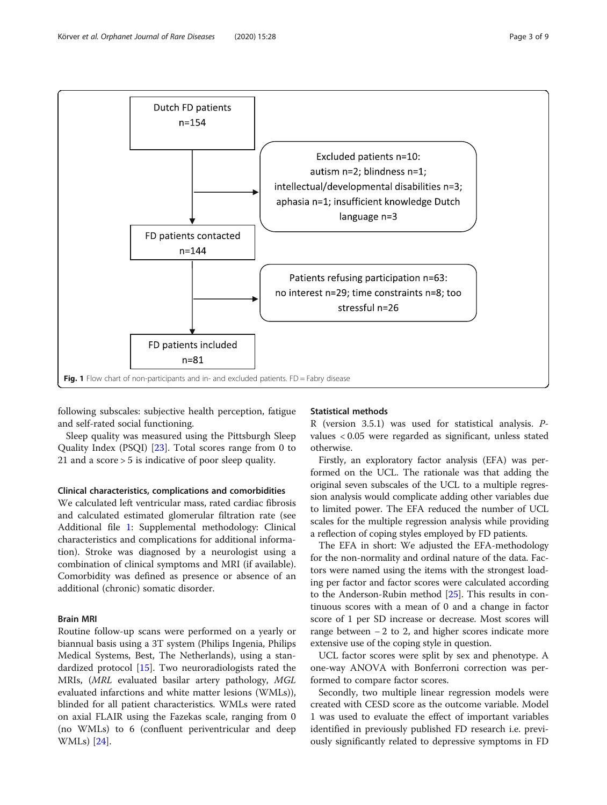<span id="page-2-0"></span>

following subscales: subjective health perception, fatigue and self-rated social functioning.

Sleep quality was measured using the Pittsburgh Sleep Quality Index (PSQI) [[23](#page-8-0)]. Total scores range from 0 to 21 and a score > 5 is indicative of poor sleep quality.

#### Clinical characteristics, complications and comorbidities

We calculated left ventricular mass, rated cardiac fibrosis and calculated estimated glomerular filtration rate (see Additional file [1:](#page-7-0) Supplemental methodology: Clinical characteristics and complications for additional information). Stroke was diagnosed by a neurologist using a combination of clinical symptoms and MRI (if available). Comorbidity was defined as presence or absence of an additional (chronic) somatic disorder.

#### Brain MRI

Routine follow-up scans were performed on a yearly or biannual basis using a 3T system (Philips Ingenia, Philips Medical Systems, Best, The Netherlands), using a standardized protocol [[15\]](#page-8-0). Two neuroradiologists rated the MRIs, (MRL evaluated basilar artery pathology, MGL evaluated infarctions and white matter lesions (WMLs)), blinded for all patient characteristics. WMLs were rated on axial FLAIR using the Fazekas scale, ranging from 0 (no WMLs) to 6 (confluent periventricular and deep WMLs) [\[24](#page-8-0)].

#### Statistical methods

R (version 3.5.1) was used for statistical analysis. Pvalues < 0.05 were regarded as significant, unless stated otherwise.

Firstly, an exploratory factor analysis (EFA) was performed on the UCL. The rationale was that adding the original seven subscales of the UCL to a multiple regression analysis would complicate adding other variables due to limited power. The EFA reduced the number of UCL scales for the multiple regression analysis while providing a reflection of coping styles employed by FD patients.

The EFA in short: We adjusted the EFA-methodology for the non-normality and ordinal nature of the data. Factors were named using the items with the strongest loading per factor and factor scores were calculated according to the Anderson-Rubin method [\[25\]](#page-8-0). This results in continuous scores with a mean of 0 and a change in factor score of 1 per SD increase or decrease. Most scores will range between − 2 to 2, and higher scores indicate more extensive use of the coping style in question.

UCL factor scores were split by sex and phenotype. A one-way ANOVA with Bonferroni correction was performed to compare factor scores.

Secondly, two multiple linear regression models were created with CESD score as the outcome variable. Model 1 was used to evaluate the effect of important variables identified in previously published FD research i.e. previously significantly related to depressive symptoms in FD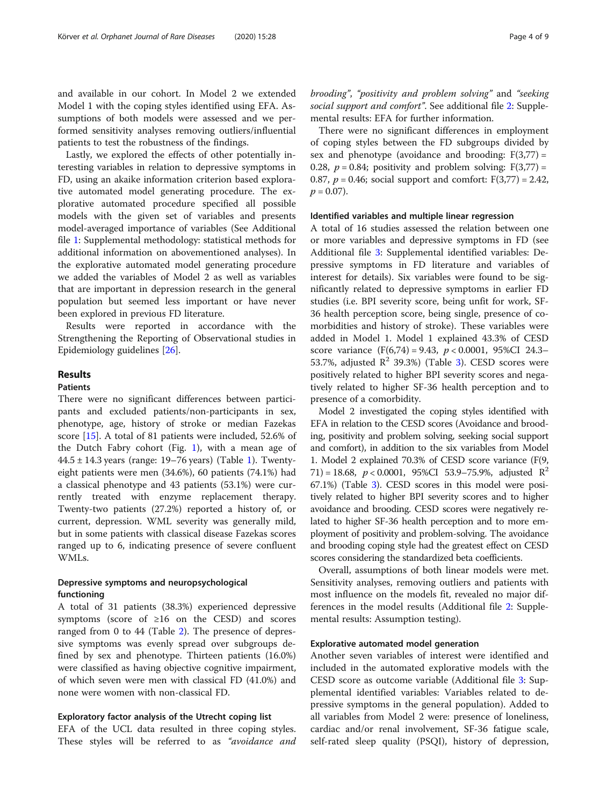and available in our cohort. In Model 2 we extended Model 1 with the coping styles identified using EFA. Assumptions of both models were assessed and we performed sensitivity analyses removing outliers/influential patients to test the robustness of the findings.

Lastly, we explored the effects of other potentially interesting variables in relation to depressive symptoms in FD, using an akaike information criterion based explorative automated model generating procedure. The explorative automated procedure specified all possible models with the given set of variables and presents model-averaged importance of variables (See Additional file [1](#page-7-0): Supplemental methodology: statistical methods for additional information on abovementioned analyses). In the explorative automated model generating procedure we added the variables of Model 2 as well as variables that are important in depression research in the general population but seemed less important or have never been explored in previous FD literature.

Results were reported in accordance with the Strengthening the Reporting of Observational studies in Epidemiology guidelines [\[26](#page-8-0)].

#### Results

#### Patients

There were no significant differences between participants and excluded patients/non-participants in sex, phenotype, age, history of stroke or median Fazekas score [\[15](#page-8-0)]. A total of 81 patients were included, 52.6% of the Dutch Fabry cohort (Fig. [1](#page-2-0)), with a mean age of 44.5 ± 14.3 years (range: 19–76 years) (Table [1](#page-4-0)). Twentyeight patients were men (34.6%), 60 patients (74.1%) had a classical phenotype and 43 patients (53.1%) were currently treated with enzyme replacement therapy. Twenty-two patients (27.2%) reported a history of, or current, depression. WML severity was generally mild, but in some patients with classical disease Fazekas scores ranged up to 6, indicating presence of severe confluent WMLs.

#### Depressive symptoms and neuropsychological functioning

A total of 31 patients (38.3%) experienced depressive symptoms (score of  $\geq 16$  on the CESD) and scores ranged from 0 to 44 (Table [2](#page-5-0)). The presence of depressive symptoms was evenly spread over subgroups defined by sex and phenotype. Thirteen patients (16.0%) were classified as having objective cognitive impairment, of which seven were men with classical FD (41.0%) and none were women with non-classical FD.

#### Exploratory factor analysis of the Utrecht coping list

EFA of the UCL data resulted in three coping styles. These styles will be referred to as "avoidance and brooding", "positivity and problem solving" and "seeking social support and comfort". See additional file [2](#page-7-0): Supplemental results: EFA for further information.

There were no significant differences in employment of coping styles between the FD subgroups divided by sex and phenotype (avoidance and brooding:  $F(3,77) =$ 0.28,  $p = 0.84$ ; positivity and problem solving:  $F(3,77) =$ 0.87,  $p = 0.46$ ; social support and comfort:  $F(3,77) = 2.42$ ,  $p = 0.07$ ).

#### Identified variables and multiple linear regression

A total of 16 studies assessed the relation between one or more variables and depressive symptoms in FD (see Additional file [3](#page-7-0): Supplemental identified variables: Depressive symptoms in FD literature and variables of interest for details). Six variables were found to be significantly related to depressive symptoms in earlier FD studies (i.e. BPI severity score, being unfit for work, SF-36 health perception score, being single, presence of comorbidities and history of stroke). These variables were added in Model 1. Model 1 explained 43.3% of CESD score variance  $(F(6,74) = 9.43, p < 0.0001, 95\%CI 24.3-$ 5[3](#page-5-0).7%, adjusted  $\mathbb{R}^2$  39.3%) (Table 3). CESD scores were positively related to higher BPI severity scores and negatively related to higher SF-36 health perception and to presence of a comorbidity.

Model 2 investigated the coping styles identified with EFA in relation to the CESD scores (Avoidance and brooding, positivity and problem solving, seeking social support and comfort), in addition to the six variables from Model 1. Model 2 explained 70.3% of CESD score variance (F(9, 71) = 18.68,  $p < 0.0001$ , 95%CI 53.9–75.9%, adjusted  $\mathbb{R}^2$ 67.1%) (Table [3\)](#page-5-0). CESD scores in this model were positively related to higher BPI severity scores and to higher avoidance and brooding. CESD scores were negatively related to higher SF-36 health perception and to more employment of positivity and problem-solving. The avoidance and brooding coping style had the greatest effect on CESD scores considering the standardized beta coefficients.

Overall, assumptions of both linear models were met. Sensitivity analyses, removing outliers and patients with most influence on the models fit, revealed no major differences in the model results (Additional file [2](#page-7-0): Supplemental results: Assumption testing).

#### Explorative automated model generation

Another seven variables of interest were identified and included in the automated explorative models with the CESD score as outcome variable (Additional file [3:](#page-7-0) Supplemental identified variables: Variables related to depressive symptoms in the general population). Added to all variables from Model 2 were: presence of loneliness, cardiac and/or renal involvement, SF-36 fatigue scale, self-rated sleep quality (PSQI), history of depression,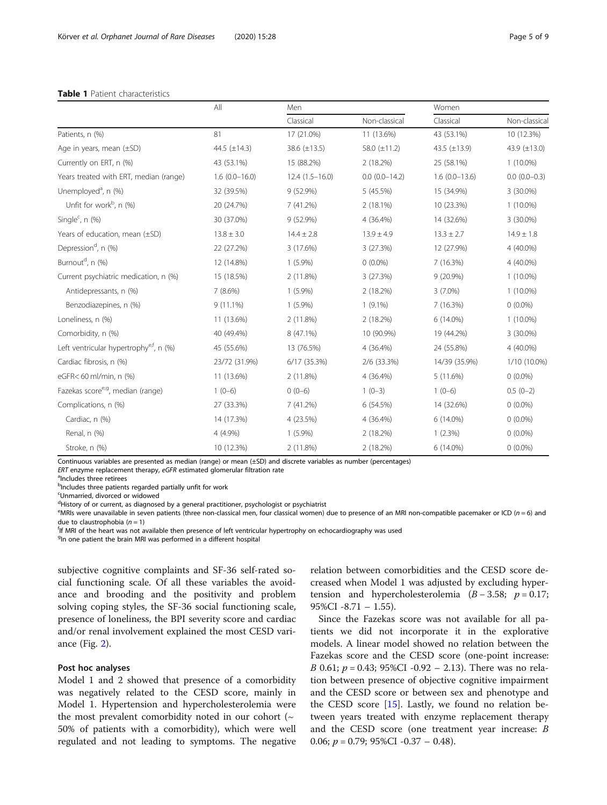#### <span id="page-4-0"></span>Table 1 Patient characteristics

|                                                     | All               | Men              |                 | Women             |                   |  |
|-----------------------------------------------------|-------------------|------------------|-----------------|-------------------|-------------------|--|
|                                                     |                   | Classical        | Non-classical   | Classical         | Non-classical     |  |
| Patients, n (%)                                     | 81                | 17 (21.0%)       | 11 (13.6%)      | 43 (53.1%)        | 10 (12.3%)        |  |
| Age in years, mean (±SD)                            | 44.5 $(\pm 14.3)$ | 38.6 (±13.5)     | 58.0 (±11.2)    | 43.5 $(\pm 13.9)$ | 43.9 $(\pm 13.0)$ |  |
| Currently on ERT, n (%)                             | 43 (53.1%)        | 15 (88.2%)       | 2(18.2%)        | 25 (58.1%)        | $1(10.0\%)$       |  |
| Years treated with ERT, median (range)              | $1.6(0.0-16.0)$   | $12.4(1.5-16.0)$ | $0.0(0.0-14.2)$ | $1.6(0.0-13.6)$   | $0.0(0.0-0.3)$    |  |
| Unemployed <sup>a</sup> , n (%)                     | 32 (39.5%)        | 9 (52.9%)        | 5 (45.5%)       | 15 (34.9%)        | 3 (30.0%)         |  |
| Unfit for work <sup>b</sup> , $n$ (%)               | 20 (24.7%)        | 7(41.2%)         | $2(18.1\%)$     | 10 (23.3%)        | $1(10.0\%)$       |  |
| Single <sup>c</sup> , $n$ (%)                       | 30 (37.0%)        | 9 (52.9%)        | 4 (36.4%)       | 14 (32.6%)        | 3 (30.0%)         |  |
| Years of education, mean (±SD)                      | $13.8 \pm 3.0$    | $14.4 \pm 2.8$   | $13.9 \pm 4.9$  | $13.3 \pm 2.7$    | $14.9 \pm 1.8$    |  |
| Depression <sup>d</sup> , n (%)                     | 22 (27.2%)        | 3 (17.6%)        | 3 (27.3%)       | 12 (27.9%)        | 4 (40.0%)         |  |
| Burnout <sup>d</sup> , n (%)                        | 12 (14.8%)        | $1(5.9\%)$       | $0(0.0\%)$      | 7 (16.3%)         | 4 (40.0%)         |  |
| Current psychiatric medication, n (%)               | 15 (18.5%)        | 2 (11.8%)        | 3 (27.3%)       | 9 (20.9%)         | $1(10.0\%)$       |  |
| Antidepressants, n (%)                              | 7(8.6%)           | $1(5.9\%)$       | 2 (18.2%)       | $3(7.0\%)$        | $1(10.0\%)$       |  |
| Benzodiazepines, n (%)                              | $9(11.1\%)$       | $1(5.9\%)$       | $1(9.1\%)$      | 7 (16.3%)         | $0(0.0\%)$        |  |
| Loneliness, n (%)                                   | 11 (13.6%)        | 2 (11.8%)        | 2(18.2%)        | 6 (14.0%)         | $1(10.0\%)$       |  |
| Comorbidity, n (%)                                  | 40 (49.4%)        | 8 (47.1%)        | 10 (90.9%)      | 19 (44.2%)        | 3 (30.0%)         |  |
| Left ventricular hypertrophy <sup>e,f</sup> , n (%) | 45 (55.6%)        | 13 (76.5%)       | 4 (36.4%)       | 24 (55.8%)        | 4 (40.0%)         |  |
| Cardiac fibrosis, n (%)                             | 23/72 (31.9%)     | 6/17 (35.3%)     | 2/6 (33.3%)     | 14/39 (35.9%)     | 1/10 (10.0%)      |  |
| eGFR< 60 ml/min, n (%)                              | 11 (13.6%)        | 2 (11.8%)        | 4 (36.4%)       | 5 (11.6%)         | $0(0.0\%)$        |  |
| Fazekas score <sup>e, g</sup> , median (range)      | $1(0-6)$          | $0(0-6)$         | $1(0-3)$        | $1(0-6)$          | $0.5(0-2)$        |  |
| Complications, n (%)                                | 27 (33.3%)        | 7 (41.2%)        | 6 (54.5%)       | 14 (32.6%)        | $0(0.0\%)$        |  |
| Cardiac, n (%)                                      | 14 (17.3%)        | 4 (23.5%)        | 4 (36.4%)       | 6 (14.0%)         | $0(0.0\%)$        |  |
| Renal, n (%)                                        | 4 (4.9%)          | $1(5.9\%)$       | 2 (18.2%)       | 1(2.3%)           | $0(0.0\%)$        |  |
| Stroke, n (%)                                       | 10 (12.3%)        | 2 (11.8%)        | 2 (18.2%)       | 6 (14.0%)         | $0(0.0\%)$        |  |

Continuous variables are presented as median (range) or mean (±SD) and discrete variables as number (percentages) ERT enzyme replacement therapy, eGFR estimated glomerular filtration rate

<sup>a</sup>Includes three retirees

<sup>b</sup>Includes three patients regarded partially unfit for work

c Unmarried, divorced or widowed

<sup>d</sup>History of or current, as diagnosed by a general practitioner, psychologist or psychiatrist

eMRIs were unavailable in seven patients (three non-classical men, four classical women) due to presence of an MRI non-compatible pacemaker or ICD (n = 6) and due to claustrophobia  $(n = 1)$ 

<sup>f</sup>If MRI of the heart was not available then presence of left ventricular hypertrophy on echocardiography was used

<sup>g</sup>In one patient the brain MRI was performed in a different hospital

subjective cognitive complaints and SF-36 self-rated social functioning scale. Of all these variables the avoidance and brooding and the positivity and problem solving coping styles, the SF-36 social functioning scale, presence of loneliness, the BPI severity score and cardiac and/or renal involvement explained the most CESD variance (Fig. [2\)](#page-6-0).

#### Post hoc analyses

Model 1 and 2 showed that presence of a comorbidity was negatively related to the CESD score, mainly in Model 1. Hypertension and hypercholesterolemia were the most prevalent comorbidity noted in our cohort  $(\sim$ 50% of patients with a comorbidity), which were well regulated and not leading to symptoms. The negative

relation between comorbidities and the CESD score decreased when Model 1 was adjusted by excluding hypertension and hypercholesterolemia  $(B - 3.58; p = 0.17;$ 95%CI  $-8.71 - 1.55$ ).

Since the Fazekas score was not available for all patients we did not incorporate it in the explorative models. A linear model showed no relation between the Fazekas score and the CESD score (one-point increase: *B* 0.61;  $p = 0.43$ ; 95%CI -0.92 – 2.13). There was no relation between presence of objective cognitive impairment and the CESD score or between sex and phenotype and the CESD score [\[15\]](#page-8-0). Lastly, we found no relation between years treated with enzyme replacement therapy and the CESD score (one treatment year increase: B 0.06;  $p = 0.79$ ; 95%CI -0.37 – 0.48).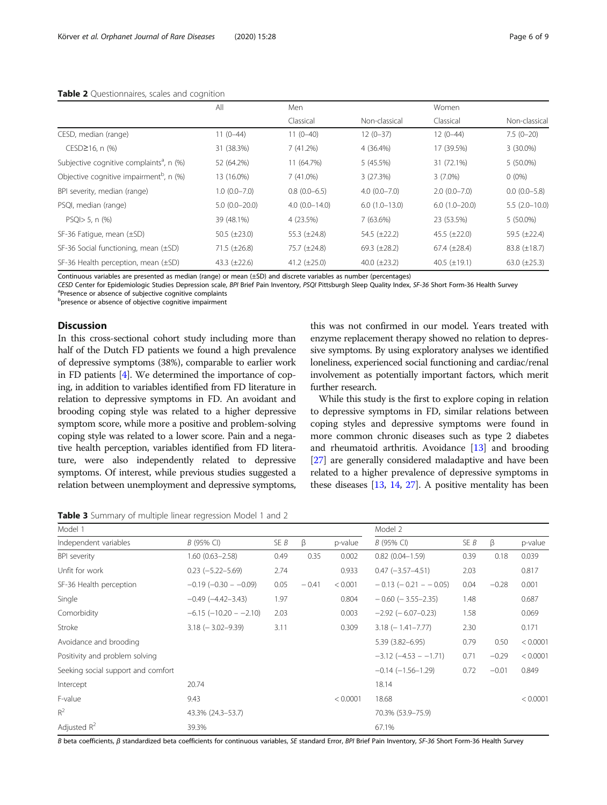<span id="page-5-0"></span>

|                                                      | All               | Men               |                   | Women               |                     |  |
|------------------------------------------------------|-------------------|-------------------|-------------------|---------------------|---------------------|--|
|                                                      |                   | Classical         | Non-classical     | Classical           | Non-classical       |  |
| CESD, median (range)                                 | $11(0-44)$        | $11(0-40)$        | $12(0-37)$        | $12(0-44)$          | $7.5(0-20)$         |  |
| $CESD \ge 16$ , n $(\%)$                             | 31 (38.3%)        | 7(41.2%)          | 4 (36.4%)         | 17 (39.5%)          | 3 (30.0%)           |  |
| Subjective cognitive complaints <sup>a</sup> , n (%) | 52 (64.2%)        | 11 (64.7%)        | 5(45.5%)          | 31 (72.1%)          | 5 (50.0%)           |  |
| Objective cognitive impairment <sup>b</sup> , n (%)  | 13 (16.0%)        | 7(41.0%)          | 3(27.3%)          | $3(7.0\%)$          | $0(0\%)$            |  |
| BPI severity, median (range)                         | $1.0(0.0 - 7.0)$  | $0.8(0.0-6.5)$    | $4.0(0.0 - 7.0)$  | $2.0(0.0 - 7.0)$    | $0.0(0.0-5.8)$      |  |
| PSQI, median (range)                                 | $5.0(0.0-20.0)$   | $4.0(0.0 - 14.0)$ | $6.0(1.0-13.0)$   | $6.0(1.0-20.0)$     | $5.5(2.0-10.0)$     |  |
| $PSQI > 5$ , n $(\%)$                                | 39 (48.1%)        | 4 (23.5%)         | 7(63.6%)          | 23 (53.5%)          | $5(50.0\%)$         |  |
| SF-36 Fatigue, mean (±SD)                            | 50.5 $(\pm 23.0)$ | 55.3 $(\pm 24.8)$ | 54.5 $(\pm 22.2)$ | $45.5 (\pm 22.0)$   | 59.5 $(\pm 22.4)$   |  |
| SF-36 Social functioning, mean (±SD)                 | $71.5 (\pm 26.8)$ | 75.7 (±24.8)      | 69.3 $(\pm 28.2)$ | $67.4 \ (\pm 28.4)$ | $83.8 \ (\pm 18.7)$ |  |
| SF-36 Health perception, mean (±SD)                  | 43.3 $(\pm 22.6)$ | 41.2 $(\pm 25.0)$ | 40.0 $(\pm 23.2)$ | 40.5 $(\pm 19.1)$   | 63.0 $(\pm 25.3)$   |  |

Continuous variables are presented as median (range) or mean (±SD) and discrete variables as number (percentages)

CESD Center for Epidemiologic Studies Depression scale, BPI Brief Pain Inventory, PSQI Pittsburgh Sleep Quality Index, SF-36 Short Form-36 Health Survey <sup>a</sup> <sup>a</sup>Presence or absence of subjective cognitive complaints

**b** presence or absence of objective cognitive impairment

#### **Discussion**

In this cross-sectional cohort study including more than half of the Dutch FD patients we found a high prevalence of depressive symptoms (38%), comparable to earlier work in FD patients [[4](#page-8-0)]. We determined the importance of coping, in addition to variables identified from FD literature in relation to depressive symptoms in FD. An avoidant and brooding coping style was related to a higher depressive symptom score, while more a positive and problem-solving coping style was related to a lower score. Pain and a negative health perception, variables identified from FD literature, were also independently related to depressive symptoms. Of interest, while previous studies suggested a relation between unemployment and depressive symptoms,

this was not confirmed in our model. Years treated with enzyme replacement therapy showed no relation to depressive symptoms. By using exploratory analyses we identified loneliness, experienced social functioning and cardiac/renal involvement as potentially important factors, which merit further research.

While this study is the first to explore coping in relation to depressive symptoms in FD, similar relations between coping styles and depressive symptoms were found in more common chronic diseases such as type 2 diabetes and rheumatoid arthritis. Avoidance [[13](#page-8-0)] and brooding [[27](#page-8-0)] are generally considered maladaptive and have been related to a higher prevalence of depressive symptoms in these diseases [\[13](#page-8-0), [14](#page-8-0), [27\]](#page-8-0). A positive mentality has been

Table 3 Summary of multiple linear regression Model 1 and 2

| Model 1                            |                               |      |         | Model 2  |                             |      |         |          |
|------------------------------------|-------------------------------|------|---------|----------|-----------------------------|------|---------|----------|
| Independent variables              | B (95% CI)                    | SE B | $\beta$ | p-value  | B (95% CI)                  | SE B | β       | p-value  |
| <b>BPI</b> severity                | $1.60(0.63 - 2.58)$           | 0.49 | 0.35    | 0.002    | $0.82(0.04 - 1.59)$         | 0.39 | 0.18    | 0.039    |
| Unfit for work                     | $0.23 (-5.22 - 5.69)$         | 2.74 |         | 0.933    | $0.47$ $(-3.57 - 4.51)$     | 2.03 |         | 0.817    |
| SF-36 Health perception            | $-0.19$ ( $-0.30$ - $-0.09$ ) | 0.05 | $-0.41$ | < 0.001  | $-0.13$ ( $-0.21 - 0.05$ )  | 0.04 | $-0.28$ | 0.001    |
| Single                             | $-0.49$ $(-4.42 - 3.43)$      | 1.97 |         | 0.804    | $-0.60$ ( $-3.55-2.35$ )    | 1.48 |         | 0.687    |
| Comorbidity                        | $-6.15$ ( $-10.20 - 2.10$ )   | 2.03 |         | 0.003    | $-2.92$ ( $-6.07-0.23$ )    | 1.58 |         | 0.069    |
| Stroke                             | $3.18$ ( $-3.02 - 9.39$ )     | 3.11 |         | 0.309    | $3.18$ ( $-1.41 - 7.77$ )   | 2.30 |         | 0.171    |
| Avoidance and brooding             |                               |      |         |          | 5.39 (3.82-6.95)            | 0.79 | 0.50    | < 0.0001 |
| Positivity and problem solving     |                               |      |         |          | $-3.12$ ( $-4.53$ $-1.71$ ) | 0.71 | $-0.29$ | < 0.0001 |
| Seeking social support and comfort |                               |      |         |          | $-0.14$ ( $-1.56-1.29$ )    | 0.72 | $-0.01$ | 0.849    |
| Intercept                          | 20.74                         |      |         |          | 18.14                       |      |         |          |
| F-value                            | 9.43                          |      |         | < 0.0001 | 18.68                       |      |         | < 0.0001 |
| $R^2$                              | 43.3% (24.3–53.7)             |      |         |          | 70.3% (53.9-75.9)           |      |         |          |
| Adjusted $R^2$                     | 39.3%                         |      |         |          | 67.1%                       |      |         |          |

B beta coefficients, β standardized beta coefficients for continuous variables, SE standard Error, BPI Brief Pain Inventory, SF-36 Short Form-36 Health Survey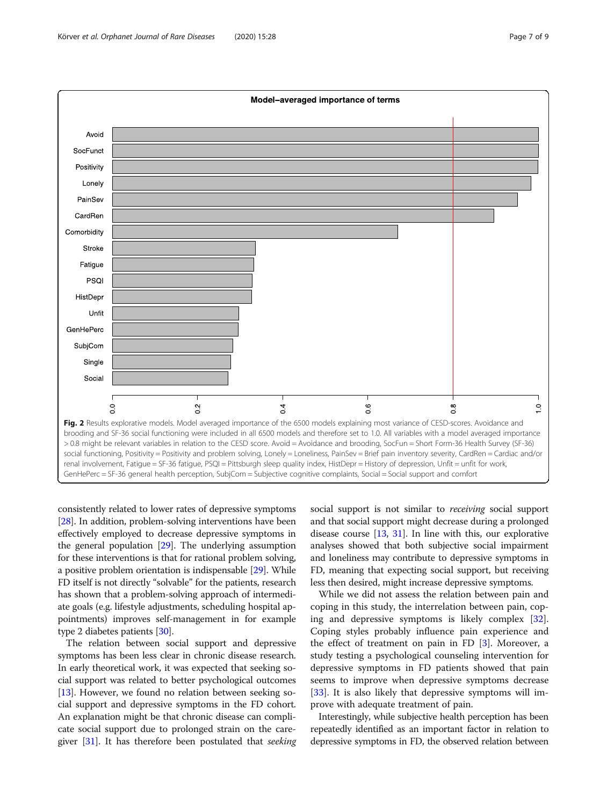<span id="page-6-0"></span>

consistently related to lower rates of depressive symptoms [[28](#page-8-0)]. In addition, problem-solving interventions have been effectively employed to decrease depressive symptoms in the general population [[29](#page-8-0)]. The underlying assumption for these interventions is that for rational problem solving, a positive problem orientation is indispensable [[29](#page-8-0)]. While FD itself is not directly "solvable" for the patients, research has shown that a problem-solving approach of intermediate goals (e.g. lifestyle adjustments, scheduling hospital appointments) improves self-management in for example type 2 diabetes patients [[30](#page-8-0)].

The relation between social support and depressive symptoms has been less clear in chronic disease research. In early theoretical work, it was expected that seeking social support was related to better psychological outcomes [[13](#page-8-0)]. However, we found no relation between seeking social support and depressive symptoms in the FD cohort. An explanation might be that chronic disease can complicate social support due to prolonged strain on the care-giver [[31](#page-8-0)]. It has therefore been postulated that *seeking* 

social support is not similar to *receiving* social support and that social support might decrease during a prolonged disease course [[13](#page-8-0), [31\]](#page-8-0). In line with this, our explorative analyses showed that both subjective social impairment and loneliness may contribute to depressive symptoms in FD, meaning that expecting social support, but receiving less then desired, might increase depressive symptoms.

While we did not assess the relation between pain and coping in this study, the interrelation between pain, coping and depressive symptoms is likely complex [\[32](#page-8-0)]. Coping styles probably influence pain experience and the effect of treatment on pain in FD [\[3](#page-8-0)]. Moreover, a study testing a psychological counseling intervention for depressive symptoms in FD patients showed that pain seems to improve when depressive symptoms decrease [[33\]](#page-8-0). It is also likely that depressive symptoms will improve with adequate treatment of pain.

Interestingly, while subjective health perception has been repeatedly identified as an important factor in relation to depressive symptoms in FD, the observed relation between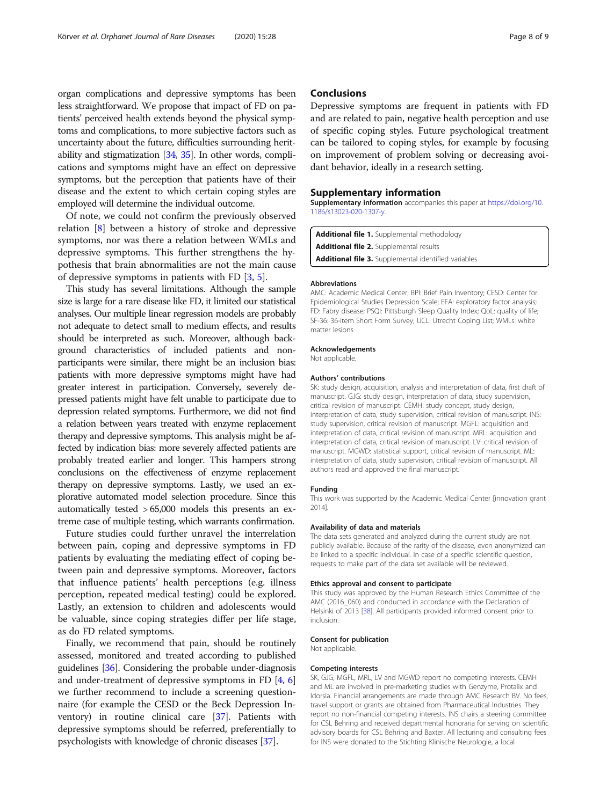<span id="page-7-0"></span>organ complications and depressive symptoms has been less straightforward. We propose that impact of FD on patients' perceived health extends beyond the physical symptoms and complications, to more subjective factors such as uncertainty about the future, difficulties surrounding heritability and stigmatization [[34](#page-8-0), [35](#page-8-0)]. In other words, complications and symptoms might have an effect on depressive symptoms, but the perception that patients have of their disease and the extent to which certain coping styles are employed will determine the individual outcome.

Of note, we could not confirm the previously observed relation [[8](#page-8-0)] between a history of stroke and depressive symptoms, nor was there a relation between WMLs and depressive symptoms. This further strengthens the hypothesis that brain abnormalities are not the main cause of depressive symptoms in patients with FD [\[3](#page-8-0), [5](#page-8-0)].

This study has several limitations. Although the sample size is large for a rare disease like FD, it limited our statistical analyses. Our multiple linear regression models are probably not adequate to detect small to medium effects, and results should be interpreted as such. Moreover, although background characteristics of included patients and nonparticipants were similar, there might be an inclusion bias: patients with more depressive symptoms might have had greater interest in participation. Conversely, severely depressed patients might have felt unable to participate due to depression related symptoms. Furthermore, we did not find a relation between years treated with enzyme replacement therapy and depressive symptoms. This analysis might be affected by indication bias: more severely affected patients are probably treated earlier and longer. This hampers strong conclusions on the effectiveness of enzyme replacement therapy on depressive symptoms. Lastly, we used an explorative automated model selection procedure. Since this automatically tested > 65,000 models this presents an extreme case of multiple testing, which warrants confirmation.

Future studies could further unravel the interrelation between pain, coping and depressive symptoms in FD patients by evaluating the mediating effect of coping between pain and depressive symptoms. Moreover, factors that influence patients' health perceptions (e.g. illness perception, repeated medical testing) could be explored. Lastly, an extension to children and adolescents would be valuable, since coping strategies differ per life stage, as do FD related symptoms.

Finally, we recommend that pain, should be routinely assessed, monitored and treated according to published guidelines [\[36\]](#page-8-0). Considering the probable under-diagnosis and under-treatment of depressive symptoms in FD [[4](#page-8-0), [6](#page-8-0)] we further recommend to include a screening questionnaire (for example the CESD or the Beck Depression Inventory) in routine clinical care [[37](#page-8-0)]. Patients with depressive symptoms should be referred, preferentially to psychologists with knowledge of chronic diseases [\[37\]](#page-8-0).

#### **Conclusions**

Depressive symptoms are frequent in patients with FD and are related to pain, negative health perception and use of specific coping styles. Future psychological treatment can be tailored to coping styles, for example by focusing on improvement of problem solving or decreasing avoidant behavior, ideally in a research setting.

#### Supplementary information

Supplementary information accompanies this paper at [https://doi.org/10.](https://doi.org/10.1186/s13023-020-1307-y) [1186/s13023-020-1307-y](https://doi.org/10.1186/s13023-020-1307-y).

```
Additional file 1. Supplemental methodology
Additional file 2. Supplemental results
Additional file 3. Supplemental identified variables
```
#### Abbreviations

AMC: Academic Medical Center; BPI: Brief Pain Inventory; CESD: Center for Epidemiological Studies Depression Scale; EFA: exploratory factor analysis; FD: Fabry disease; PSQI: Pittsburgh Sleep Quality Index; QoL: quality of life; SF-36: 36-item Short Form Survey; UCL: Utrecht Coping List; WMLs: white matter lesions

#### Acknowledgements

Not applicable.

#### Authors' contributions

SK: study design, acquisition, analysis and interpretation of data, first draft of manuscript. GJG: study design, interpretation of data, study supervision, critical revision of manuscript. CEMH: study concept, study design, interpretation of data, study supervision, critical revision of manuscript. INS: study supervision, critical revision of manuscript. MGFL: acquisition and interpretation of data, critical revision of manuscript. MRL: acquisition and interpretation of data, critical revision of manuscript. LV: critical revision of manuscript. MGWD: statistical support, critical revision of manuscript. ML: interpretation of data, study supervision, critical revision of manuscript. All authors read and approved the final manuscript.

#### Funding

This work was supported by the Academic Medical Center [innovation grant 2014].

#### Availability of data and materials

The data sets generated and analyzed during the current study are not publicly available. Because of the rarity of the disease, even anonymized can be linked to a specific individual. In case of a specific scientific question, requests to make part of the data set available will be reviewed.

#### Ethics approval and consent to participate

This study was approved by the Human Research Ethics Committee of the AMC (2016\_060) and conducted in accordance with the Declaration of Helsinki of 2013 [[38\]](#page-8-0). All participants provided informed consent prior to inclusion.

#### Consent for publication

Not applicable.

#### Competing interests

SK, GJG, MGFL, MRL, LV and MGWD report no competing interests. CEMH and ML are involved in pre-marketing studies with Genzyme, Protalix and Idorsia. Financial arrangements are made through AMC Research BV. No fees, travel support or grants are obtained from Pharmaceutical Industries. They report no non-financial competing interests. INS chairs a steering committee for CSL Behring and received departmental honoraria for serving on scientific advisory boards for CSL Behring and Baxter. All lecturing and consulting fees for INS were donated to the Stichting Klinische Neurologie, a local